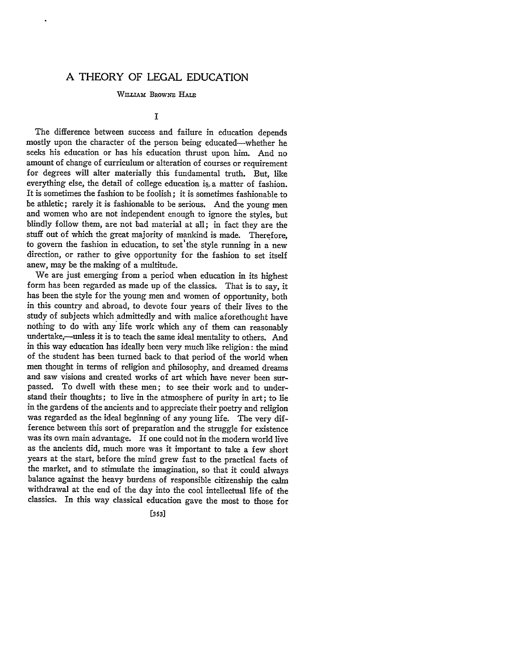## A THEORY OF LEGAL EDUCATION

## WILLIAM BROWNE HALE

## **I**

The difference between success and failure in education depends mostly upon the character of the person being educated—whether he seeks his education or has his education thrust upon him. And no amount of change of curriculum or alteration of courses or requirement for degrees will alter materially this fundamental truth. But, like everything else, the detail of college education *is,* a matter of fashion. It is sometimes the fashion to be foolish; it is sometimes fashionable to be athletic; rarely it is fashionable to be serious. And the young men and women who are not independent enough to ignore the styles, but blindly follow them, are not bad material at all; in fact they are the stuff out of which the great majority of mankind is made. Therefore, to govern the fashion in education, to set'the style running in a new direction, or rather to give opportunity for the fashion to set itself anew, may be the making of a multitude.

We are just emerging from a period when education in its highest form has been regarded as made up of the classics. That is to say, it has been the style **for** the young men and women of opportunity, both in this country and abroad, to devote four years of their lives to the study of subjects which admittedly and with malice aforethought have nothing to do with any life work which any of them can reasonably undertake,—unless it is to teach the same ideal mentality to others. And in this way education has ideally been very much like religion: the mind of the student has been turned back to that period of the world when men thought in terms of religion and philosophy, and dreamed dreams and saw visions and created works of art which have never been surpassed. To dwell with these men; to see their work and to understand their thoughts; to live in the atmosphere of purity in art; to lie in the gardens of the ancients and to appreciate their poetry and religion was regarded as the ideal beginning of any young life. The very difference between this sort of preparation and the struggle for existence was its own main advantage. If one could not in the modern world live as the ancients did, much more was it important to take a few short years at the start, before the mind grew fast to the practical facts of the market, and to stimulate the imagination, so that it could always balance against the heavy burdens of responsible citizenship the calm withdrawal at the end of the day into the cool intellectual life of the classics. In this way classical education gave the most to those for

**[3531**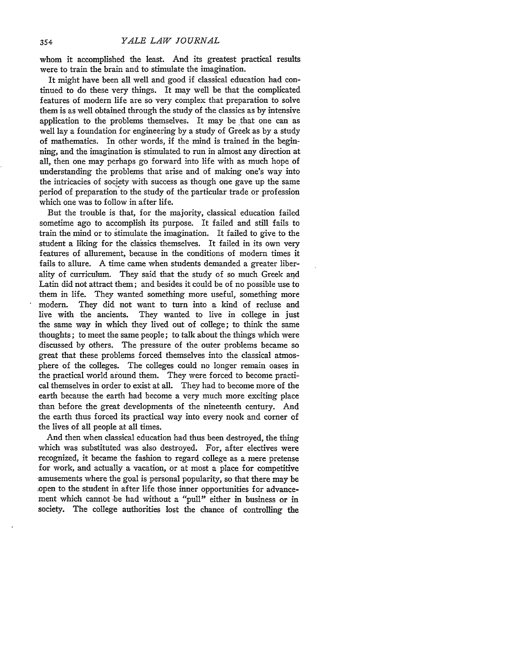whom it accomplished the least. And its greatest practical results were to train the brain and to stimulate the imagination.

It might have been all well and good if classical education had continued to do these very things. It may well be that the complicated features of modern life are so very complex that preparation to solve them is as well obtained through the study of the classics as by intensive application to the problems themselves. It may be that one can as well lay a foundation for engineering by a study of Greek as by a study of mathematics. In other words, if the mind is trained in the beginning, and the imagination is stimulated to run in almost any direction at all, then one may perhaps go forward into life with as much hope of understanding the problems that arise and of making one's way into the intricacies of society with success as though one gave up the same period of preparation to the study of the particular trade or profession which one was to follow in after life.

But the trouble is that, for the majority, classical education failed sometime ago to accomplish its purpose. It failed and still fails to train the mind or to stimulate the imagination. It failed to give to the student a liking for the classics themselves. It failed in its own very features of allurement, because in the conditions of modern times it fails to allure. A time came when students demanded a greater liberality of curriculum. They said that the study of so much Greek and Latin did not attract them; and besides it could be of no possible use to them in life. They wanted something more useful, something more modern. They did not want to turn into a kind of recluse and live with the ancients. They wanted to live in college in just the same way in which they lived out of college; to think the same thoughts; to meet the same people; to talk about the things which were discussed by others. The pressure of the outer problems became so great that these problems forced themselves into the classical atmosphere of the colleges. The colleges could no longer remain oases in the practical world around them. They were forced to become practical themselves in order to exist at all. They had to become more of the earth because the earth had become a very much more exciting place than before the great developments of the nineteenth century. And the earth thus forced its practical way into every nook and corner of the lives of all people at all times.

And then when classical education had thus been destroyed, the thing which was substituted was also destroyed. For, after electives were recognized, it became the fashion to regard college as a mere pretense for work, and actually a vacation, or at most a place for competitive amusements where the goal is personal popularity, so that there may be ,open to the student in after life those inner opportunities for advancement which cannot be had without a "pull" either in business or in society. The college authorities lost the chance of controlling the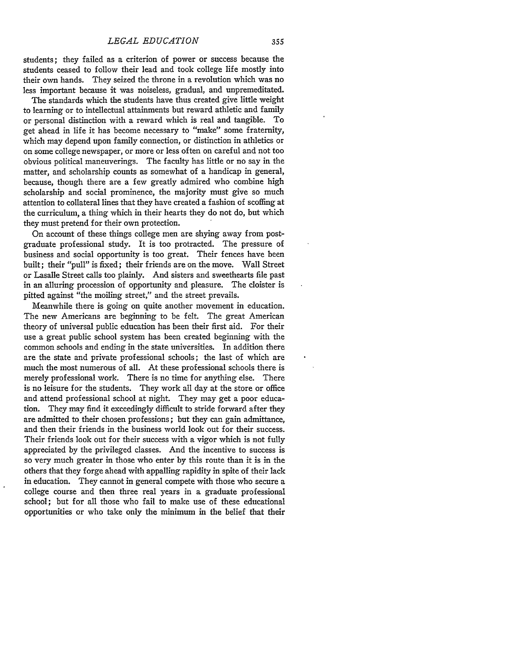students; they failed as a criterion of power or success because the students ceased to follow their lead and took college life mostly into their own hands. They seized the throne in a revolution which was no less important because it was noiseless, gradual, and unpremeditated.

The standards which the students have thus created give little weight to learning or to intellectual attainments but reward athletic and family or personal distinction with a reward which is real and tangible. To get ahead in life it has become necessary to "make" some fraternity, which may depend upon family connection, or distinction in athletics or on some college newspaper, or more or less often on careful and not too obvious political maneuverings. The faculty has little or no say in the matter, and scholarship counts as somewhat of a handicap in general, because, though there are a few greatly admired who combine high scholarship and social prominence, the majority must give so much attention to collateral lines that they have created a fashion of scoffing at the curriculum, a thing which in their hearts they do not do, but which they must pretend for their own protection.

On account of these things college men are shying away from postgraduate professional study. It is too protracted. The pressure of business and social opportunity is too great. Their fences have been built; their "pull" is fixed; their friends are on the move. Wall Street or Lasalle Street calls too plainly. And sisters and sweethearts file past in an alluring procession of opportunity and pleasure. The cloister is pitted against "the moiling street," and the street prevails.

Meanwhile there is going on quite another movement in education. The new Americans are beginning to be felt. The great American theory of universal public education has been their first aid. For their use a great public school system has been created beginning with the common schools and ending in the state universities. In addition there are the state and private professional schools; the last of which are much the most numerous of all. At these professional schools there is merely professional work. There is no time for anything else. There is no leisure for the students. They work all day at the store or office and attend professional school at night. They may get a poor education. They may find it exceedingly difficult to stride forward after they are admitted to their chosen professions; but they can gain admittance, and then their friends in the business world look out for their success. Their friends look out for their success with a vigor which is not fully appreciated by the privileged classes. And the incentive to success is so very much greater in those who enter by this route than it is in the others that they forge ahead with appalling rapidity in spite of their lack in education. They cannot in general compete with those who secure a college course and then three real years in a graduate professional school; but for all those who fail to make use of these educational opportunities or who take only the minimum in the belief that their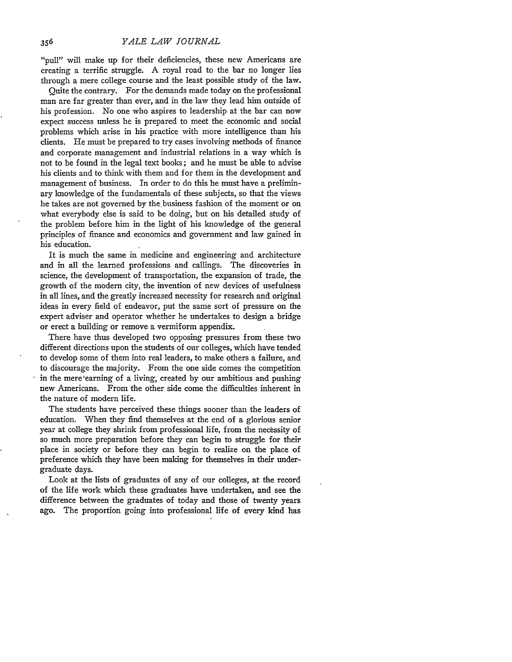"pull" will make up for their deficiencies, these new Americans are creating a terrific struggle. A royal road to the bar no longer lies through a mere college course and the least possible study of the law.

Quite the contrary. For the demands made today on the professional man are far greater than ever, and in the law they lead him outside of his profession. No one who aspires to leadership at the bar can now expect success unless he is prepared to meet the economic and social problems which arise in his practice with more intelligence than his clients. He must be prepared to try cases involving methods of finance and corporate management and industrial relations in a way which is not to be found in the legal text books; and he must be able to advise his clients and to think with them and for them in the development and management of business. In order to do this he must have a preliminary knowledge of the fundamentals of these subjects, so that the views he takes are not governed by the business fashion of the moment or on what everybody else is said to be doing, but on his detailed study of the problem before him in the light of his knowledge of the general principles of finance and economics and government and law gained in his education.

It is much the same in medicine and engineering and architecture and in all the learned professions and callings. The discoveries in science, the development of transportation, the expansion of trade, the growth of the modern city, the invention of new devices of usefulness in all lines, and the greatly increased necessity for research and original ideas in every field of endeavor, put the same sort of pressure on the expert adviser and operator whether he undertakes to design a bridge or erect a building or remove a vermiform appendix.

There have thus developed two opposing pressures from these two different directions upon the students of our colleges, which have tended to develop some of them into real leaders, to make others a failure, and to discourage the majority. From the one side comes the competition in the mere'earning of a living, created by our ambitious and pushing new Americans. From the other side come the difficulties inherent in the nature of modern life.

The students have perceived these things sooner than the leaders of education. When they find themselves at the end of a glorious senior year at college they shrink from professional life, from the necessity of so much more preparation before they can begin to struggle for their place in society or before they can begin to realize on the place of preference which they have been making for themselves in their undergraduate days.

Look at the lists of graduates of any of our colleges, at the record of the life work which these graduates have undertaken, and see the difference between the graduates of today and those of twenty years ago. The proportion going into professional life of every kind has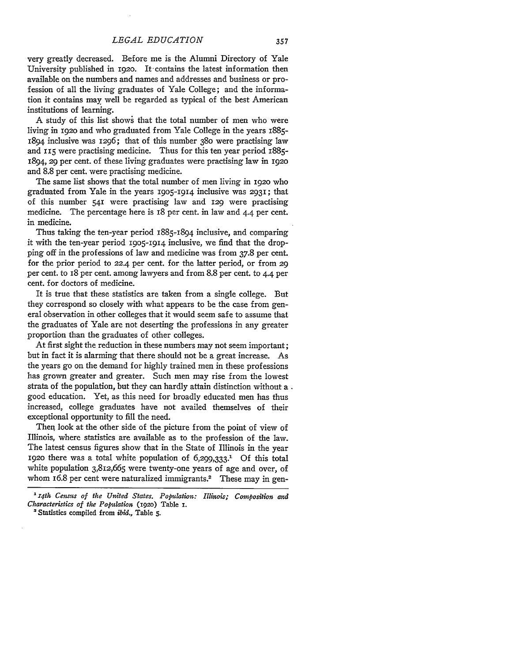very greatly decreased. Before me is the Alumni Directory of Yale University published in **192o.** It-contains the latest information then available on the numbers and names and addresses and business or profession of all the living graduates of Yale College; and the information it contains may well be regarded as typical of the best American institutions of learning.

**A** study of this list shows that the total number of men who were living in **192o** and who graduated from Yale College in the years 1885- 1894 inclusive was 1296; that of this number 38o were practising law and **115** were practising medicine. Thus for this ten year period 1885- 1894, 29 per cent. of these living graduates were practising law in **192o** and **8.8** per cent. were practising medicine.

The same list shows that the total number of men living in **192o** who graduated from Yale in the years 1905-1914 inclusive was 2931; that of this number **541** were practising law and **129** were practising medicine. The percentage here is **18** per cent. in law and 4.4 per cent. in medicine.

Thus taking the ten-year period 1885-1894 inclusive, and comparing it with the ten-year period 1905-1914 inclusive, we find that the dropping off in the professions of law and medicine was from **37.8** per cent. for the prior period to 224 per cent. for the latter period, or from 29 per cent. to 18 per cent. among lawyers and from **8.8** per cent. to 4.4 per cent. for doctors of medicine.

It is true that these statistics are taken from a single college. But they correspond so closely with what appears to be the case from general observation in other colleges that it would seem safe to assume that the graduates of Yale are not deserting the professions in any greater proportion than the graduates of other colleges.

At first sight the reduction in these numbers may not seem important; but in fact it is alarming that there should not be a great increase. As the years go on the demand for **highly** trained men in these professions has grown greater and greater. Such men may rise from the lowest strata of the population, but they can hardly attain distinction without a **.** good education. Yet, as this need for broadly educated men has thus increased, college graduates have not availed themselves of their exceptional opportunity to **fill** the need.

**Then** look at the other side of the picture from the point of view of Illinois, where statistics are available as to the profession of the law. The latest census figures show that in the State of Illinois in the year **192o** there was a total white population of **6,299,333.1** Of this total white population 3,812,665 were twenty-one years of age and over, of whom 16.8 per cent were naturalized immigrants.<sup>2</sup> These may in gen-

<sup>&</sup>lt;sup>1</sup> *I4th Census of the United States. Population: Illinois; Composition and Characteristics of the Population* (i92o) Table i.

<sup>&#</sup>x27;Statistics compiled from *ibid.,* Table **S.**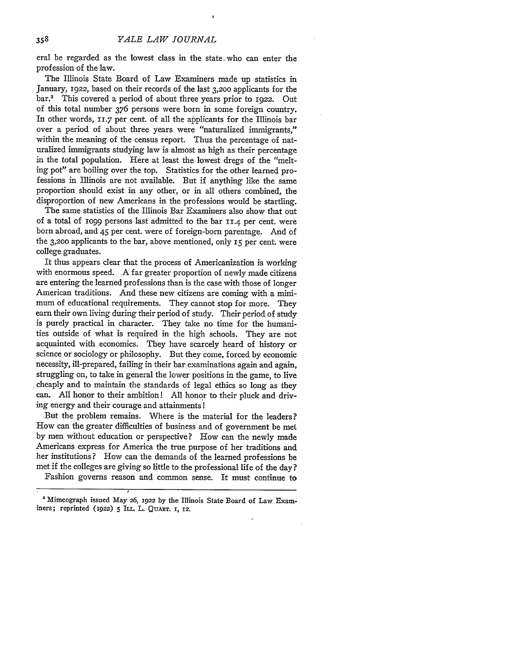eral be regarded as the lowest class in the state. who can enter the profession of the law.

The Illinois State Board of Law Examiners made up statistics in January, 1922, based on their records of the last *3,200* applicants for the bar.3 This covered a period of about three years prior to 1922. Out of this total number 376 persons were born in some foreign country. In other words, **11.7** per cent. of all the applicants for the Illinois bar over a period of about three years were "naturalized immigrants," within the meaning of the census report. Thus the percentage of naturalized immigrants studying law is almost as high as their percentage in the total population. Here at least the lowest dregs of the "melting pot" are boiling over the top. Statistics for the other learned professions in Illinois are not available. But if anything like the same proportion should exist in any other, or in all others "combined, the disproportion of new Americans in the professions would be startling.

The same statistics of the Illinois Bar Examiners also show that out of a total of *lO99* persons last admitted to the bar 11.4 per cent. were born abroad, and 45 per cent. were of foreign-born parentage. And of the 3,200 applicants to the bar, above mentioned, only 15 per cent. were college graduates.

It thus appears clear that the process of Americanization is working with enormous speed. A far greater proportion of newly made citizens are entering the learned professions than is the case with those of longer American traditions. And these new citizens are coming with a minimum of educational requirements. They cannot stop for more. They earn their own living during their period of study. Their period of study is purely practical in character. They take no time for the humanities outside of what is required in the high schools. They are not acquainted with economics. They have scarcely heard of history or science or sociology or philosophy. But they come, forced by economic necessity, ill-prepared, failing in their bar examinations again and again, struggling on, to take in general the lower positions in the game, to live cheaply and to maintain the standards of legal ethics so long as they can. All honor to their ambition! All honor to their pluck and driving energy and their courage and attainments !

But the problem remains. Where is the material for the leaders? How can the greater difficulties of business and of government be met by men without education or perspective? How can the newly made Americans express for America the true purpose of her traditions and her institutions? How can the demands of the learned professions be met if the colleges are giving so little to the professional life of the day?

Fashion governs reason and common sense. It must continue to

<sup>&#</sup>x27;Mimeograph issued May *26,* 1922 by the Illinois State Board of Law Examiners; reprinted (1922) **5** I. L. QUART. **I, 12.**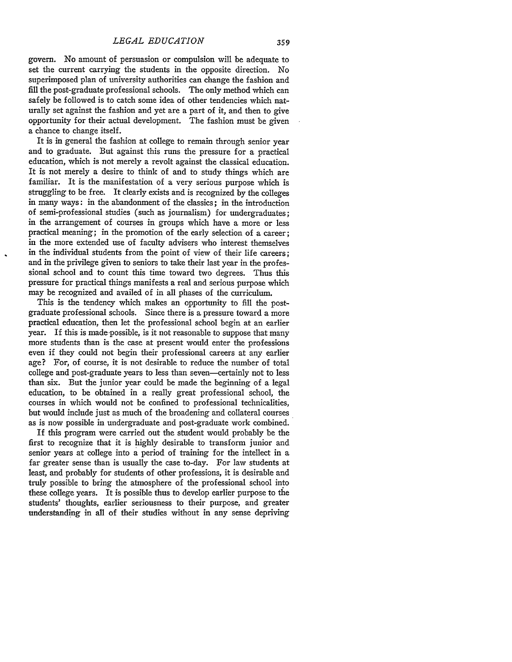govern. No amount of persuasion or compulsion will be adequate to set the current carrying the students in the opposite direction. No superimposed plan of university authorities can change the fashion and fill the post-graduate professional schools. The only method which can safely be followed is to catch some idea of other tendencies which naturally set against the fashion and yet are a part of it, and then to give opportunity for their actual development. The fashion must be given a chance to change itself.

It is in general the fashion at college to remain through senior year and to graduate. But against this runs the pressure for a practical education, which is not merely a revolt against the classical education. It is not merely a desire to think of and to study things which are familiar. It is the manifestation of a very serious purpose which is struggling to be free. It clearly exists and is recognized by the colleges in many ways: in the abandonment of the classics; in the introduction of semi-professional studies (such as journalism) for undergraduates; in the arrangement of courses in groups which have a more or less practical meaning; in the promotion of the early selection of a career; in the more extended use of faculty advisers who interest themselves in the individual students from the point of view of their life careers; and in the privilege given to seniors to take their last year in the professional school and to count this time toward two degrees. Thus this pressure for practical things manifests a real and serious purpose which may be recognized and availed of in all phases of the curriculum.

This is the tendency which makes an opportunity to fill the postgraduate professional schools. Since there is a pressure toward a more practical education, then let the professional school begin at an earlier year. If this is made possible, is it not reasonable to suppose that many more students than is the case at present would enter the professions even if they could not begin their professional careers at any earlier age? For, of course, it is not desirable to reduce the number of total college and post-graduate years to less than seven-certainly not to less than six. But the junior year could be made the beginning of a legal education, to be obtained in a really great professional school, the courses in which would not be confined to professional technicalities, but would include just as much of the broadening and collateral courses as is now possible in undergraduate and post-graduate work combined.

If this program were carried out the student would probably be the first to recognize that it is highly desirable to transform junior and senior years at college into a period of training for the intellect in a far greater sense than is usually the case to-day. For law students at least, and probably for students of other professions, it is desirable and truly possible to bring the atmosphere of the professional school into these college years. It is possible thus to develop earlier purpose to the students' thoughts, earlier seriousness to their purpose, and greater understanding in all of their studies without in any sense depriving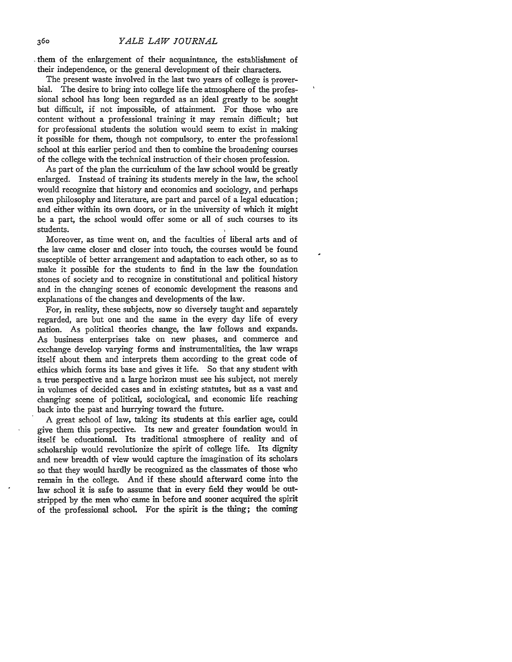.them of the enlargement of their acquaintance, the establishment of their independence, or the general development of their characters.

The present waste involved in the last two years of college is proverbial. The desire to bring into college life the atmosphere of the professional school has long been regarded as an ideal greatly to be sought but difficult, if not impossible, of attainment. For those who are content without a professional training it may remain difficult; but for professional students the solution would seem to exist in making it possible for them, though not compulsory, to enter the professional school at this earlier period and then to combine the broadening courses of the college with the technical instruction of their chosen profession.

As part of the plan the curriculum of the law school would be greatly enlarged. Instead of training its students merely in the law, the school would recognize that history and economics and sociology, and perhaps even philosophy and literature, are part and parcel of a legal education; and either within its own doors, or in the university of which it might be a part, the school would offer some or all of such courses to its students.

Moreover, as time went on, and the faculties of liberal arts and of the law came closer and closer into touch, the courses would be found susceptible of better arrangement and adaptation to each other, so as to make it possible for the students to find in the law the foundation stones of society and to recognize in constitutional and political history and in the changing scenes of economic development the reasons and explanations of the changes and developments of the law.

For, in reality, these subjects, now so diversely taught and separately regarded, are but one and the same in the every day life of every nation. As political theories change, the law follows and expands. As business enterprises take on new phases, and commerce and exchange develop varying forms and instrumentalities, the law wraps itself about them and interprets them according to the great code of ethics which forms its base and gives it life. So that any student with a true perspective and a large horizon must see his subject, not merely in volumes of decided cases and in existing statutes, but as a vast and changing scene of political, sociological, and economic life reaching back into the past and hurrying toward the future.

A great school of law, taking its students at this earlier age, could give them this perspective. Its new and greater foundation would in itself be educational. Its traditional atmosphere of reality and of scholarship would revolutionize the spirit of college life. Its dignity and new breadth of view would capture the imagination of its scholars so that they would hardly be recognized as the classmates of those who remain in the college. And if these should afterward come into the law school it is safe to assume that in every field they would be outstripped by the men who' came in before and sooner acquired the spirit of the professional school. For the spirit is the thing; the coming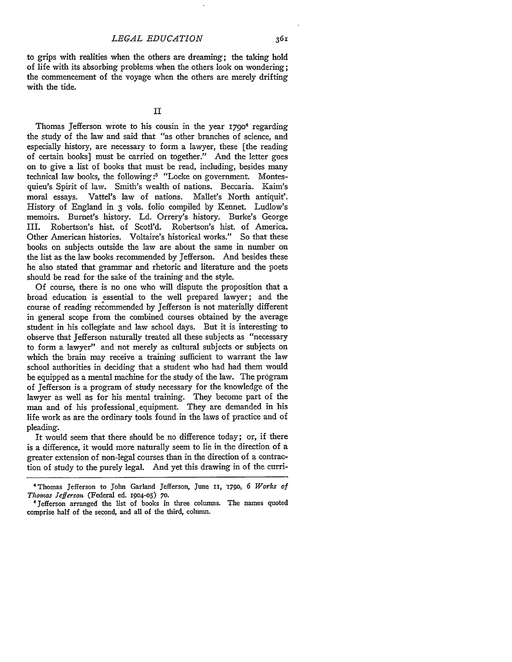to grips with realities when the others are dreaming; the taking hold of life with its absorbing problems when the others look on wondering; the commencement of the voyage when the others are merely drifting with the tide.

Thomas Jefferson wrote to his cousin in the year  $1790<sup>4</sup>$  regarding the study of the law and said that "as other branches of science, and especially history, are necessary to form a lawyer, these [the reading of certain books] must be carried on together." And the letter goes on to give a list of books that must be read, including, besides many technical law books, the following:5 "Locke on government. Montesquieu's Spirit of law. Smith's wealth of nations. Beccaria. Kaim's moral essays. Vattel's law of nations. Mallet's North antiquit'. History of England in **3** vols. folio compiled by Kennet. Ludlow's memoirs. Burnet's history. Ld. Orrery's history. Burke's George III. Robertson's hist. of Scotl'd. Robertson's hist. of America. Other American histories. Voltaire's historical works." So that these books on subjects outside the law are about the same in number on the list as the law books recommended by Jefferson. And besides these he also stated that grammar and rhetoric and literature and the poets should be read for the sake of the training and the style.

Of course, there is no one who will dispute the proposition that a broad education is essential to the well prepared lawyer; and the course of reading recommended by Jefferson is not materially different in general scope from the combined courses obtained by the average student in his collegiate and law school days. But it is interesting to observe that Jefferson naturally treated all these subjects as "necessary to form a lawyer" and not merely as cultural subjects or subjects on which the brain may receive a training sufficient to warrant the law school authorities in deciding that a student who had had them would be equipped as a mental machine for the study of the law. The program of Jefferson is a program of study necessary for the knowledge of the lawyer as well as for his mental training. They become part of the man and of his professional. equipment. They are demanded in his life work as are the ordinary tools found in the laws of practice and of pleading.

It would seem that there should be no difference today; or, if there is a difference, it would more naturally seem to lie in the direction of a greater extension of non-legal courses than in the direction of a contraction of study to the purely legal. And yet this drawing in of the curri-

<sup>&#</sup>x27;Thomas Jefferson to John Garland Jefferson, June **I,** -179o, *6 Works of Thoims Jefferson* (Federal ed. **1904-05) 70.**

<sup>&</sup>lt;sup>5</sup> Jefferson arranged the list of books in three columns. The names quoted comprise half of the second, and all of the third, column.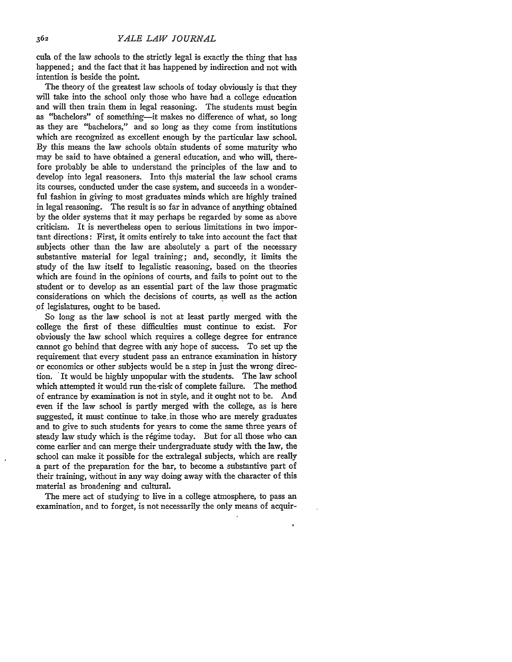cula of the law schools to the strictly legal is exactly the thing that has happened; and the fact that it has happened by indirection and not with intention is beside the point.

The theory of the greatest law schools of today obviously is that they will take into the school only those who have had a college education and will then train them in legal reasoning. The students must begin as "bachelors' of something-it makes no difference of what, so long as they are "bachelors," and so long as they come from institutions which are recognized as excellent enough by the particular law school. By this means the law schools obtain students of some maturity who may be said to have obtained a general education, and who will, therefore probably be able to understand the principles of the law and to develop into legal reasoners. Into this material the law school crams its courses, conducted under the case system, and succeeds in a wonderful fashion in giving to most graduates minds which are highly trained in legal reasoning. The result is so far in advance of anything obtained by the older systems that it may perhaps be regarded by some as above criticism. It is nevertheless open to serious limitations in two important directions: First, it omits entirely to take into account the fact that subjects other than the law are absolutely a part of the necessary substantive material for legal training; and, secondly, it limits the study of the law itself to legalistic reasoning, based on the theories which are found in the opinions of courts, and fails to point out to the student or to develop as an essential part of the law those pragmatic considerations on which the decisions of courts, as well as the action of legislatures, ought to be based.

So long as the law school is not at least partly merged with the college the first of these difficulties must continue to exist. For obviously the law school which requires a college degree for entrance cannot go behind that degree with any hope of success. To set up the requirement that every student pass an entrance examination in history or economics or other subjects would be a step in just the wrong direction. 'It would be highly unpopular with the students. The law school which attempted it would run the risk of complete failure. The method of entrance by examination is not in style, and it ought not to be. And even if the law school is partly merged with the college, as is here suggested, it must continue to take in those who are merely graduates and to give to such students for years to come the same three years of steady law study which is the régime today. But for all those who can come earlier and can merge their undergraduate study with the law, the school can make it possible for the extralegal subjects, which are really a part of the preparation for the bar, to become a substantive part of their training, without in any way doing away with the character of this material as broadening and cultural.

The mere act of studying to live in a college atmosphere, to pass an examination, and to forget, is not necessarily the only means of acquir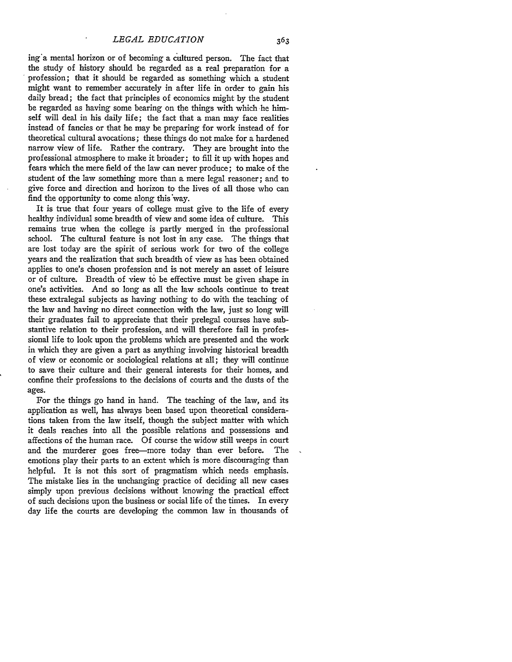ing'a mental horizon or of becoming a cultured person. The fact that the study of history should be regarded as a real preparation for a profession; that it should be regarded as something which a student might want to remember accurately in after life in order to gain his daily bread; the fact that principles of economics might by the student be regarded as having some bearing on the things with which he himself will deal in his daily life; the fact that a man may face realities instead of fancies or that he may be preparing for work instead of for theoretical cultural avocations; these things do not make for a hardened narrow view of life. Rather the contrary. They are brought into the professional atmosphere to make it broader; to fill it up with hopes and fears which the mere field of the law can never produce; to make of the student of the law something more than a mere legal reasoner; and to give force and direction and horizon to the lives of all those who can find the opportunity to come along this way.

It is true that four years of college must give to the life of every healthy individual some breadth of view and some idea of culture. This remains true when the college is partly merged in the professional school. The cultural feature is not lost in any case. The things that are lost today are the spirit of serious work for two of the college years and the realization that such breadth of view as has been obtained applies to one's chosen profession and is not merely an asset of leisure or of culture. Breadth of view to be effective must be given shape in one's activities. And so long as all the law schools continue to treat these extralegal subjects as having nothing to do with the teaching of the law and having no direct connection with the law, just so long will their graduates fail to appreciate that their prelegal courses have substantive relation to their profession, and will therefore fail in professional life to look upon the problems which are presented and the work in which they are given a part as anything involving historical breadth of view or economic or sociological relations at all; they will continue to save their culture and their general interests for their homes, and confine their professions to the decisions of courts and the dusts of the ages.

For the things go hand in hand. The teaching of the law, and its application as well, has always been based upon theoretical considerations taken from the law itself, though the subject matter with which it deals reaches into all the possible relations and possessions and affections of the human race. Of course the widow still weeps in court and the murderer goes free-more today than ever before. The emotions play their parts to an extent which is more discouraging than helpful. It is not this sort of pragmatism which needs emphasis. The mistake lies in the unchanging practice of deciding all new cases simply upon previous decisions without knowing the practical effect of such decisions upon the business or social life of the times. In every day life the courts are developing the common law in thousands of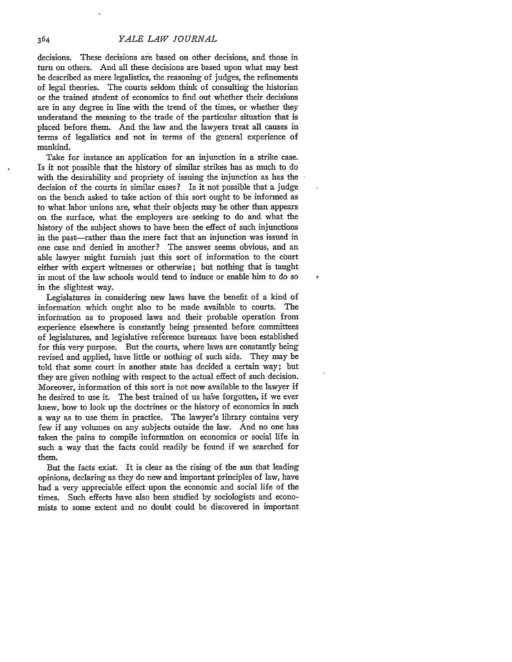decisions. These decisions are based on other decisions, and those in turn on others. And all these decisions are based upon what may best be described as mere legalistics, the reasoning of judges, the refinements of legal theories. The courts seldom think of consulting the historian or the trained student of economics to find out whether their decisions are in any degree in line with the trend of the times, or whether they understand the meaning to the trade of the particular situation that is placed before them. And the law and the lawyers treat all causes in terms of legalistics and not in terms of the general experience of mankind.

Take for instance an application for an injunction in a strike case. Is it not possible that the history of similar strikes has as much to do with the desirability and propriety of issuing the injunction as has the decision of the courts in similar cases? Is it not possible that a judge on the bench asked to take action of this sort ought to be informed as to what labor unions are, what their objects may be other than appears on the surface, what the employers are seeking to do and what the history of the subject shows to have been the effect of such injunctions in the past-rather than the mere fact that an injunction was issued in one case and denied in another? The answer seems obvious, and an able lawyer might furnish just this sort of information to the court either with expert witnesses or otherwise; but nothing that is taught in most of the law schools would tend to induce or enable him to do so in the slightest way.

Legislatures in considering new laws have the benefit of a kind of information which ought also to be made available to courts. The information as to proposed laws and their probable operation from experience elsewhere is constantly being presented before committees of legislatures, and legislative reference bureaux have been established for this very purpose. But the courts, where laws are constantly being revised and applied, have little or nothing of such aids. They may be told that some court in another state has decided a certain way; but they are given nothing with respect to the actual effect of such decision. Moreover, information of this sort is not now available to the lawyer if he desired to use it. The best trained of us have forgotten, if we ever knew, how to look up the doctrines or the history of economics in such a way as to use them in practice. The lawyer's library contains very few if any volumes on any subjects outside the law. And no one has taken the pains to compile information on economics or social life in such a way that the facts could readily be found if we searched for them.

But the facts exist. It is clear as the rising of the sun that leading opinions, declaring as they do new and important principles of law, have had a very appreciable effect upon the economic and social life of the times. Such effects have also been studied by sociologists and economists to some extent and no doubt could be discovered in important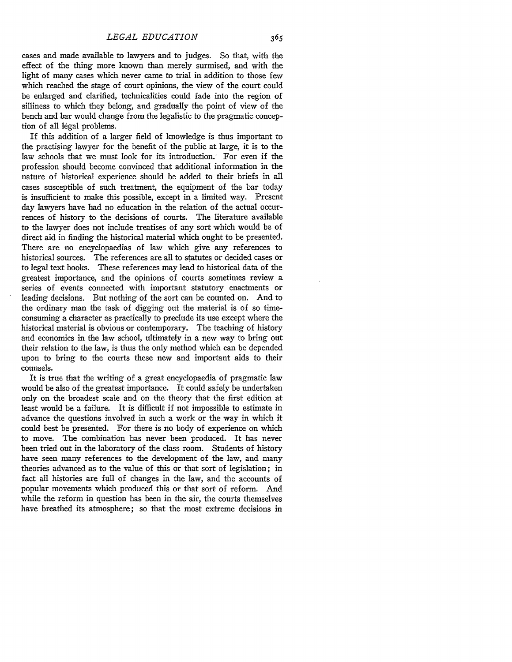cases and made available to lawyers and to judges. So that, with the effect of the thing more known than merely surmised, and with the light of many cases which never came to trial in addition to those few which reached the stage of court opinions, the view of the court could be enlarged and clarified, technicalities could fade into the region of silliness to which they belong, and gradually the point of view of the bench and bar would change from the legalistic to the pragmatic conception of all legal problems.

If this addition of a larger field of knowledge is thus important to the practising lawyer for the benefit of the public at large, it is to the law schools that we must look for its introduction. For even if the profession should become convinced that additional information in the nature of historical experience should be added to their briefs in all cases susceptible of such treatment, the equipment of the bar today is insufficient to make this possible, except in a limited way. Present day lawyers have had no education in the relation of the actual occurrences of history to the decisions of courts. The literature available to the lawyer does not include treatises of any sort which would be of direct aid in finding the historical material which ought to be presented. There are no encyclopaedias of law which give any references to historical sources. The references are all to statutes or decided cases or to legal text books. These references may lead to historical data of the greatest importance, and the opinions of courts sometimes review a series of events connected with important statutory enactments or leading decisions. But nothing of the sort can be counted on. And to the ordinary man the task of digging out the material is of so timeconsuming a character as practically to preclude its use except where the historical material is obvious or contemporary. The teaching of history and economics in the law school, ultimately in a new way to bring out their relation to the law, is thus the only method which can be depended upon to bring to the courts these new and important aids to their counsels.

It is true that the writing of a great encyclopaedia of pragmatic law would be also of the greatest importance. It could safely be undertaken only on the broadest scale and on the theory that the first edition at least would be a failure. It is difficult if not impossible to estimate in advance the questions involved in such a work or the way in which it could best be presented. For there is no body of experience on which to move. The combination has never been produced. It has never been tried out in the laboratory of the class room. Students of history have seen many references to the development of the law, and many theories advanced as to the value of this or that sort of legislation; in fact all histories are full of changes in the law, and the accounts of popular movements which produced this or that sort of reform. And while the reform in question has been in the air, the courts themselves have breathed its atmosphere; so that the most extreme decisions in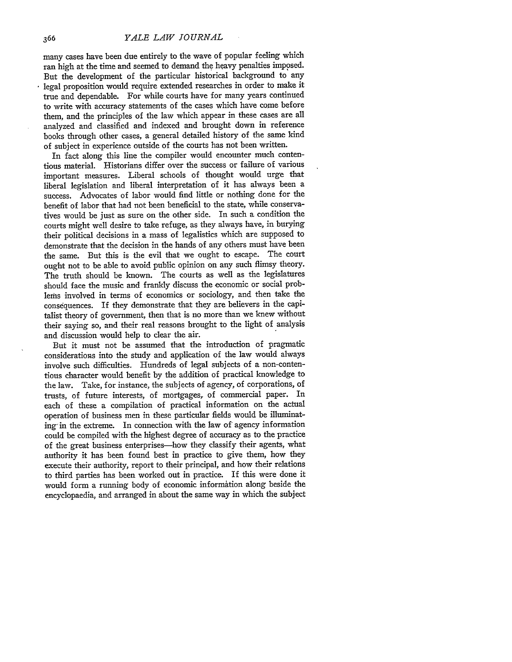many cases have been due entirely to the wave of popular feeling which ran high at the time and seemed to demand the heavy penalties imposed. But the development of the particular historical background to any . legal proposition would require extended researches in order to make it true and dependable. For while courts have for many years continued to write with accuracy statements of the cases which have come before them, and the principles of the law which appear in these cases are all analyzed and classified and indexed and brought down in reference books through other cases, a general detailed history of the same kind of subject in experience outside of the courts has not been written.

In fact along this line the compiler would encounter much contentious material. Historians differ over the success or failure of various important measures. Liberal schools of thought would urge that liberal legislation and liberal interpretation of it has always been a success. Advocates of labor would find little or nothing done for the benefit of labor that had not been beneficial to the state, while conservatives would be just as sure on the other side. In such a condition the courts might well desire to take refuge, as they always have, in burying their political decisions in a mass of legalistics which are supposed to demonstrate that the decision in the hands of any others must have been the same. But this is the evil that we ought to escape. The court ought not to be able to avoid public opinion on any such flimsy theory. The truth should be known. The courts as well as the legislatures should face the music and frankly discuss the economic or social problems involved in terms of economics or sociology, and then take the consequences. If they demonstrate that they are believers in the capitalist theory of government, then that is no more than we knew without their saying so, and their real reasons brought to the light of analysis and discussion would help to clear the air.

But it must not be assumed that the introduction of pragmatic considerations into the study and application of the law would always involve such difficulties. Hundreds of legal subjects of a non-contentious character would benefit by the addition of practical knowledge to the law. Take, for instance, the subjects of agency, of corporations, of trusts, of future interests, of mortgages, of commercial paper. In each of these a compilation of practical information on the actual operation of business men in these particular fields would be illuminating'in the extreme. In connection with the law of agency information could be compiled with the highest degree of accuracy as to the practice of the great business enterprises-how they classify their agents, what authority it has been found best in practice to give them, how they execute their authority, report to their principal, and how their relations to third parties has been worked out in practice. If this were done it would form a running body of economic information along beside the encyclopaedia, and arranged in about the same way in which the subject